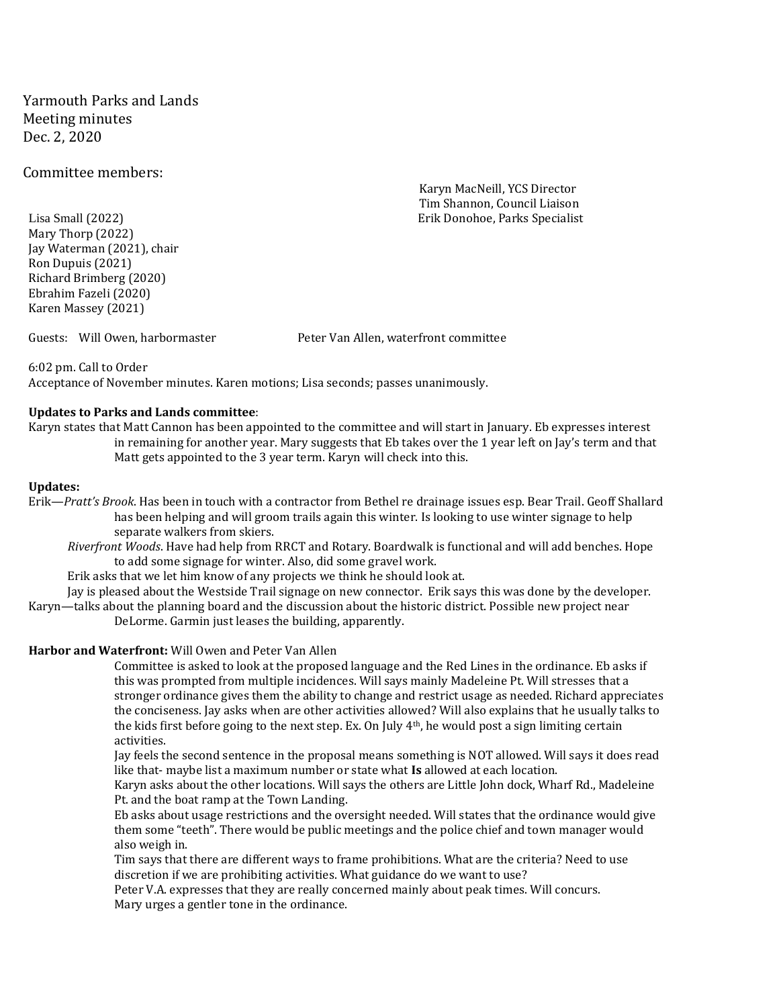Yarmouth Parks and Lands Meeting minutes Dec. 2, 2020

# Committee members:

Mary Thorp (2022) Jay Waterman (2021), chair Ron Dupuis (2021) Richard Brimberg (2020) Ebrahim Fazeli (2020) Karen Massey (2021)

Tim Shannon, Council Liaison Lisa Small (2022) Erik Donohoe, Parks Specialist

Karyn MacNeill, YCS Director

Guests: Will Owen, harbormaster Peter Van Allen, waterfront committee

6:02 pm. Call to Order Acceptance of November minutes. Karen motions; Lisa seconds; passes unanimously.

## **Updates to Parks and Lands committee**:

Karyn states that Matt Cannon has been appointed to the committee and will start in January. Eb expresses interest in remaining for another year. Mary suggests that Eb takes over the 1 year left on Jay's term and that Matt gets appointed to the 3 year term. Karyn will check into this.

### **Updates:**

Erik—*Pratt's Brook*. Has been in touch with a contractor from Bethel re drainage issues esp. Bear Trail. Geoff Shallard has been helping and will groom trails again this winter. Is looking to use winter signage to help separate walkers from skiers.

 *Riverfront Woods*. Have had help from RRCT and Rotary. Boardwalk is functional and will add benches. Hope to add some signage for winter. Also, did some gravel work.

Erik asks that we let him know of any projects we think he should look at.

 Jay is pleased about the Westside Trail signage on new connector. Erik says this was done by the developer. Karyn—talks about the planning board and the discussion about the historic district. Possible new project near

DeLorme. Garmin just leases the building, apparently.

## **Harbor and Waterfront:** Will Owen and Peter Van Allen

 Committee is asked to look at the proposed language and the Red Lines in the ordinance. Eb asks if this was prompted from multiple incidences. Will says mainly Madeleine Pt. Will stresses that a stronger ordinance gives them the ability to change and restrict usage as needed. Richard appreciates the conciseness. Jay asks when are other activities allowed? Will also explains that he usually talks to the kids first before going to the next step. Ex. On July  $4<sup>th</sup>$ , he would post a sign limiting certain activities.

Jay feels the second sentence in the proposal means something is NOT allowed. Will says it does read like that- maybe list a maximum number or state what **Is** allowed at each location.

Karyn asks about the other locations. Will says the others are Little John dock, Wharf Rd., Madeleine Pt. and the boat ramp at the Town Landing.

Eb asks about usage restrictions and the oversight needed. Will states that the ordinance would give them some "teeth". There would be public meetings and the police chief and town manager would also weigh in.

Tim says that there are different ways to frame prohibitions. What are the criteria? Need to use discretion if we are prohibiting activities. What guidance do we want to use?

Peter V.A. expresses that they are really concerned mainly about peak times. Will concurs. Mary urges a gentler tone in the ordinance.